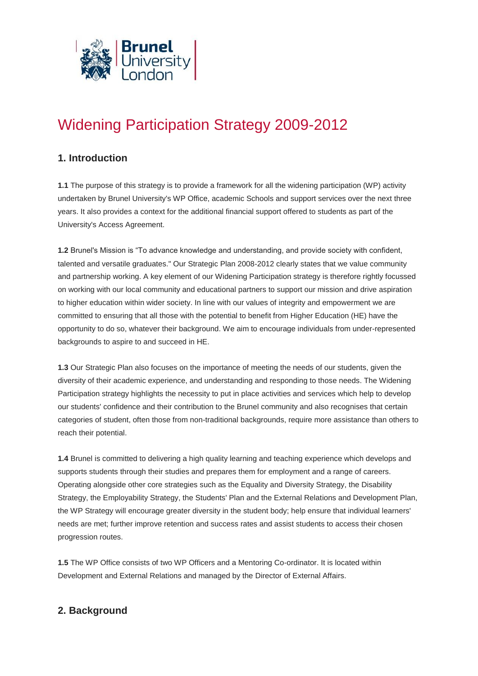

# Widening Participation Strategy 2009-2012

## **1. Introduction**

**1.1** The purpose of this strategy is to provide a framework for all the widening participation (WP) activity undertaken by Brunel University's WP Office, academic Schools and support services over the next three years. It also provides a context for the additional financial support offered to students as part of the University's Access Agreement.

**1.2** Brunel's Mission is "To advance knowledge and understanding, and provide society with confident, talented and versatile graduates." Our Strategic Plan 2008-2012 clearly states that we value community and partnership working. A key element of our Widening Participation strategy is therefore rightly focussed on working with our local community and educational partners to support our mission and drive aspiration to higher education within wider society. In line with our values of integrity and empowerment we are committed to ensuring that all those with the potential to benefit from Higher Education (HE) have the opportunity to do so, whatever their background. We aim to encourage individuals from under-represented backgrounds to aspire to and succeed in HE.

**1.3** Our Strategic Plan also focuses on the importance of meeting the needs of our students, given the diversity of their academic experience, and understanding and responding to those needs. The Widening Participation strategy highlights the necessity to put in place activities and services which help to develop our students' confidence and their contribution to the Brunel community and also recognises that certain categories of student, often those from non-traditional backgrounds, require more assistance than others to reach their potential.

**1.4** Brunel is committed to delivering a high quality learning and teaching experience which develops and supports students through their studies and prepares them for employment and a range of careers. Operating alongside other core strategies such as the Equality and Diversity Strategy, the Disability Strategy, the Employability Strategy, the Students' Plan and the External Relations and Development Plan, the WP Strategy will encourage greater diversity in the student body; help ensure that individual learners' needs are met; further improve retention and success rates and assist students to access their chosen progression routes.

**1.5** The WP Office consists of two WP Officers and a Mentoring Co-ordinator. It is located within Development and External Relations and managed by the Director of External Affairs.

# **2. Background**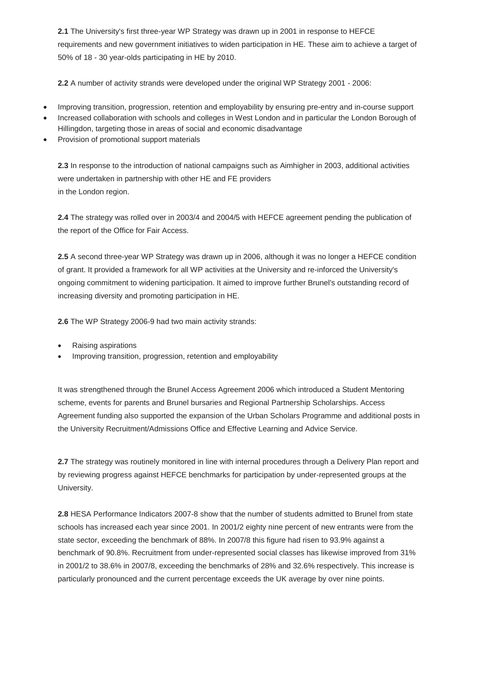**2.1** The University's first three-year WP Strategy was drawn up in 2001 in response to HEFCE requirements and new government initiatives to widen participation in HE. These aim to achieve a target of 50% of 18 - 30 year-olds participating in HE by 2010.

**2.2** A number of activity strands were developed under the original WP Strategy 2001 - 2006:

- Improving transition, progression, retention and employability by ensuring pre-entry and in-course support
- Increased collaboration with schools and colleges in West London and in particular the London Borough of Hillingdon, targeting those in areas of social and economic disadvantage
- Provision of promotional support materials

**2.3** In response to the introduction of national campaigns such as Aimhigher in 2003, additional activities were undertaken in partnership with other HE and FE providers in the London region.

**2.4** The strategy was rolled over in 2003/4 and 2004/5 with HEFCE agreement pending the publication of the report of the Office for Fair Access.

**2.5** A second three-year WP Strategy was drawn up in 2006, although it was no longer a HEFCE condition of grant. It provided a framework for all WP activities at the University and re-inforced the University's ongoing commitment to widening participation. It aimed to improve further Brunel's outstanding record of increasing diversity and promoting participation in HE.

**2.6** The WP Strategy 2006-9 had two main activity strands:

- Raising aspirations
- Improving transition, progression, retention and employability

It was strengthened through the Brunel Access Agreement 2006 which introduced a Student Mentoring scheme, events for parents and Brunel bursaries and Regional Partnership Scholarships. Access Agreement funding also supported the expansion of the Urban Scholars Programme and additional posts in the University Recruitment/Admissions Office and Effective Learning and Advice Service.

**2.7** The strategy was routinely monitored in line with internal procedures through a Delivery Plan report and by reviewing progress against HEFCE benchmarks for participation by under-represented groups at the University.

**2.8** HESA Performance Indicators 2007-8 show that the number of students admitted to Brunel from state schools has increased each year since 2001. In 2001/2 eighty nine percent of new entrants were from the state sector, exceeding the benchmark of 88%. In 2007/8 this figure had risen to 93.9% against a benchmark of 90.8%. Recruitment from under-represented social classes has likewise improved from 31% in 2001/2 to 38.6% in 2007/8, exceeding the benchmarks of 28% and 32.6% respectively. This increase is particularly pronounced and the current percentage exceeds the UK average by over nine points.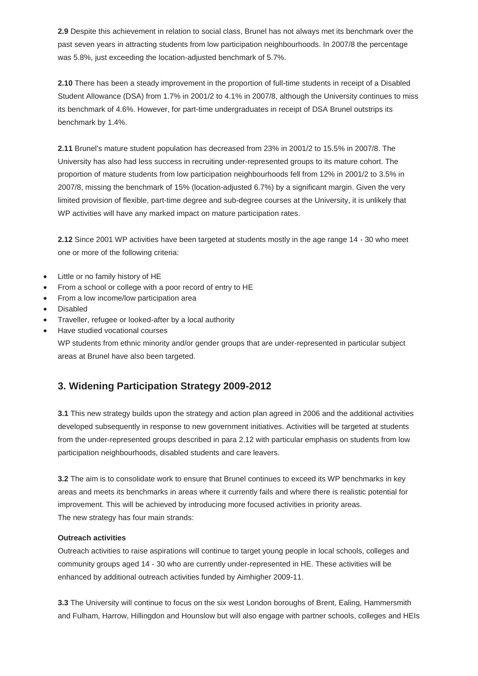**2.9** Despite this achievement in relation to social class, Brunel has not always met its benchmark over the past seven years in attracting students from low participation neighbourhoods. In 2007/8 the percentage was 5.8%, just exceeding the location-adjusted benchmark of 5.7%.

**2.10** There has been a steady improvement in the proportion of full-time students in receipt of a Disabled Student Allowance (DSA) from 1.7% in 2001/2 to 4.1% in 2007/8, although the University continues to miss its benchmark of 4.6%. However, for part-time undergraduates in receipt of DSA Brunel outstrips its benchmark by 1.4%.

**2.11** Brunel's mature student population has decreased from 23% in 2001/2 to 15.5% in 2007/8. The University has also had less success in recruiting under-represented groups to its mature cohort. The proportion of mature students from low participation neighbourhoods fell from 12% in 2001/2 to 3.5% in 2007/8, missing the benchmark of 15% (location-adjusted 6.7%) by a significant margin. Given the very limited provision of flexible, part-time degree and sub-degree courses at the University, it is unlikely that WP activities will have any marked impact on mature participation rates.

**2.12** Since 2001 WP activities have been targeted at students mostly in the age range 14 - 30 who meet one or more of the following criteria:

- Little or no family history of HE
- From a school or college with a poor record of entry to HE
- From a low income/low participation area
- Disabled
- Traveller, refugee or looked-after by a local authority
- Have studied vocational courses

WP students from ethnic minority and/or gender groups that are under-represented in particular subject areas at Brunel have also been targeted.

# **3. Widening Participation Strategy 2009-2012**

**3.1** This new strategy builds upon the strategy and action plan agreed in 2006 and the additional activities developed subsequently in response to new government initiatives. Activities will be targeted at students from the under-represented groups described in para 2.12 with particular emphasis on students from low participation neighbourhoods, disabled students and care leavers.

**3.2** The aim is to consolidate work to ensure that Brunel continues to exceed its WP benchmarks in key areas and meets its benchmarks in areas where it currently fails and where there is realistic potential for improvement. This will be achieved by introducing more focused activities in priority areas. The new strategy has four main strands:

### **Outreach activities**

Outreach activities to raise aspirations will continue to target young people in local schools, colleges and community groups aged 14 - 30 who are currently under-represented in HE. These activities will be enhanced by additional outreach activities funded by Aimhigher 2009-11.

**3.3** The University will continue to focus on the six west London boroughs of Brent, Ealing, Hammersmith and Fulham, Harrow, Hillingdon and Hounslow but will also engage with partner schools, colleges and HEIs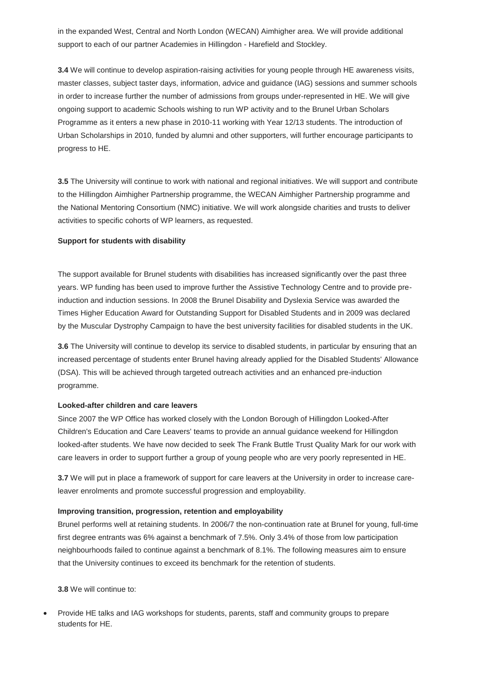in the expanded West, Central and North London (WECAN) Aimhigher area. We will provide additional support to each of our partner Academies in Hillingdon - Harefield and Stockley.

**3.4** We will continue to develop aspiration-raising activities for young people through HE awareness visits, master classes, subject taster days, information, advice and guidance (IAG) sessions and summer schools in order to increase further the number of admissions from groups under-represented in HE. We will give ongoing support to academic Schools wishing to run WP activity and to the Brunel Urban Scholars Programme as it enters a new phase in 2010-11 working with Year 12/13 students. The introduction of Urban Scholarships in 2010, funded by alumni and other supporters, will further encourage participants to progress to HE.

**3.5** The University will continue to work with national and regional initiatives. We will support and contribute to the Hillingdon Aimhigher Partnership programme, the WECAN Aimhigher Partnership programme and the National Mentoring Consortium (NMC) initiative. We will work alongside charities and trusts to deliver activities to specific cohorts of WP learners, as requested.

### **Support for students with disability**

The support available for Brunel students with disabilities has increased significantly over the past three years. WP funding has been used to improve further the Assistive Technology Centre and to provide preinduction and induction sessions. In 2008 the Brunel Disability and Dyslexia Service was awarded the Times Higher Education Award for Outstanding Support for Disabled Students and in 2009 was declared by the Muscular Dystrophy Campaign to have the best university facilities for disabled students in the UK.

**3.6** The University will continue to develop its service to disabled students, in particular by ensuring that an increased percentage of students enter Brunel having already applied for the Disabled Students' Allowance (DSA). This will be achieved through targeted outreach activities and an enhanced pre-induction programme.

#### **Looked-after children and care leavers**

Since 2007 the WP Office has worked closely with the London Borough of Hillingdon Looked-After Children's Education and Care Leavers' teams to provide an annual guidance weekend for Hillingdon looked-after students. We have now decided to seek The Frank Buttle Trust Quality Mark for our work with care leavers in order to support further a group of young people who are very poorly represented in HE.

**3.7** We will put in place a framework of support for care leavers at the University in order to increase careleaver enrolments and promote successful progression and employability.

#### **Improving transition, progression, retention and employability**

Brunel performs well at retaining students. In 2006/7 the non-continuation rate at Brunel for young, full-time first degree entrants was 6% against a benchmark of 7.5%. Only 3.4% of those from low participation neighbourhoods failed to continue against a benchmark of 8.1%. The following measures aim to ensure that the University continues to exceed its benchmark for the retention of students.

**3.8** We will continue to:

 Provide HE talks and IAG workshops for students, parents, staff and community groups to prepare students for HE.